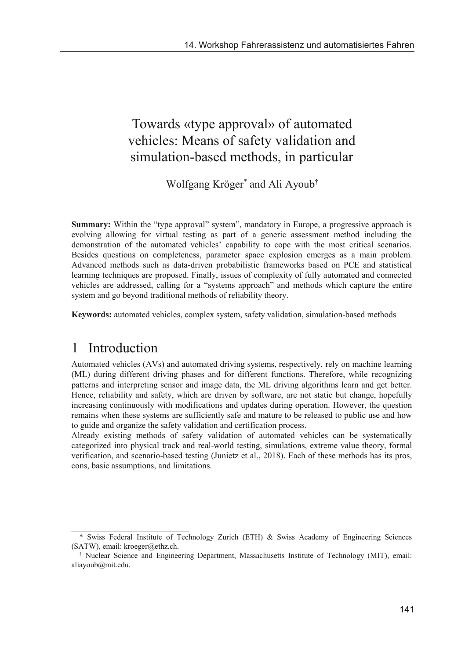# Towards «type approval» of automated vehicles: Means of safety validation and simulation-based methods, in particular

Wolfgang Kröger\* and Ali Ayoub†

**Summary:** Within the "type approval" system", mandatory in Europe, a progressive approach is evolving allowing for virtual testing as part of a generic assessment method including the demonstration of the automated vehicles' capability to cope with the most critical scenarios. Besides questions on completeness, parameter space explosion emerges as a main problem. Advanced methods such as data-driven probabilistic frameworks based on PCE and statistical learning techniques are proposed. Finally, issues of complexity of fully automated and connected vehicles are addressed, calling for a "systems approach" and methods which capture the entire system and go beyond traditional methods of reliability theory.

**Keywords:** automated vehicles, complex system, safety validation, simulation-based methods

#### 1 Introduction

\_\_\_\_\_\_\_\_\_\_\_\_\_\_\_\_\_\_\_\_\_\_\_\_\_\_\_\_\_\_

Automated vehicles (AVs) and automated driving systems, respectively, rely on machine learning (ML) during different driving phases and for different functions. Therefore, while recognizing patterns and interpreting sensor and image data, the ML driving algorithms learn and get better. Hence, reliability and safety, which are driven by software, are not static but change, hopefully increasing continuously with modifications and updates during operation. However, the question remains when these systems are sufficiently safe and mature to be released to public use and how to guide and organize the safety validation and certification process.

Already existing methods of safety validation of automated vehicles can be systematically categorized into physical track and real-world testing, simulations, extreme value theory, formal verification, and scenario-based testing (Junietz et al., 2018). Each of these methods has its pros, cons, basic assumptions, and limitations.

<sup>\*</sup> Swiss Federal Institute of Technology Zurich (ETH) & Swiss Academy of Engineering Sciences (SATW), email: kroeger@ethz.ch.

<sup>†</sup> Nuclear Science and Engineering Department, Massachusetts Institute of Technology (MIT), email: aliayoub@mit.edu.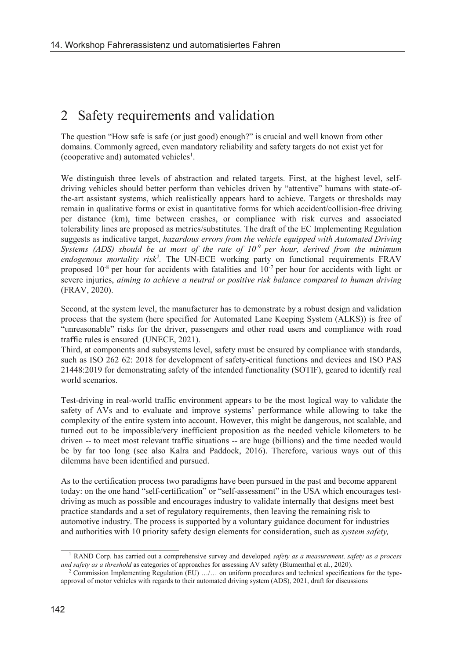### 2 Safety requirements and validation

The question "How safe is safe (or just good) enough?" is crucial and well known from other domains. Commonly agreed, even mandatory reliability and safety targets do not exist yet for (cooperative and) automated vehicles<sup>1</sup>.

We distinguish three levels of abstraction and related targets. First, at the highest level, selfdriving vehicles should better perform than vehicles driven by "attentive" humans with state-ofthe-art assistant systems, which realistically appears hard to achieve. Targets or thresholds may remain in qualitative forms or exist in quantitative forms for which accident/collision-free driving per distance (km), time between crashes, or compliance with risk curves and associated tolerability lines are proposed as metrics/substitutes. The draft of the EC Implementing Regulation suggests as indicative target, *hazardous errors from the vehicle equipped with Automated Driving Systems (ADS) should be at most of the rate of 10-9 per hour, derived from the minimum endogenous mortality risk<sup>2</sup> .* The UN-ECE working party on functional requirements FRAV proposed 10<sup>-8</sup> per hour for accidents with fatalities and 10<sup>-7</sup> per hour for accidents with light or severe injuries, *aiming to achieve a neutral or positive risk balance compared to human driving* (FRAV, 2020).

Second, at the system level, the manufacturer has to demonstrate by a robust design and validation process that the system (here specified for Automated Lane Keeping System (ALKS)) is free of "unreasonable" risks for the driver, passengers and other road users and compliance with road traffic rules is ensured (UNECE, 2021).

Third, at components and subsystems level, safety must be ensured by compliance with standards, such as ISO 262 62: 2018 for development of safety-critical functions and devices and ISO PAS 21448:2019 for demonstrating safety of the intended functionality (SOTIF), geared to identify real world scenarios.

Test-driving in real-world traffic environment appears to be the most logical way to validate the safety of AVs and to evaluate and improve systems' performance while allowing to take the complexity of the entire system into account. However, this might be dangerous, not scalable, and turned out to be impossible/very inefficient proposition as the needed vehicle kilometers to be driven -- to meet most relevant traffic situations -- are huge (billions) and the time needed would be by far too long (see also Kalra and Paddock, 2016). Therefore, various ways out of this dilemma have been identified and pursued.

As to the certification process two paradigms have been pursued in the past and become apparent today: on the one hand "self-certification" or "self-assessment" in the USA which encourages testdriving as much as possible and encourages industry to validate internally that designs meet best practice standards and a set of regulatory requirements, then leaving the remaining risk to automotive industry. The process is supported by a voluntary guidance document for industries and authorities with 10 priority safety design elements for consideration, such as *system safety,* 

\_\_\_\_\_\_\_\_\_\_\_\_\_\_\_\_\_\_\_\_\_\_\_\_\_\_\_\_\_\_

<sup>1</sup> RAND Corp. has carried out a comprehensive survey and developed *safety as a measurement, safety as a process and safety as a threshold* as categories of approaches for assessing AV safety (Blumenthal et al., 2020).

<sup>&</sup>lt;sup>2</sup> Commission Implementing Regulation (EU) .../... on uniform procedures and technical specifications for the typeapproval of motor vehicles with regards to their automated driving system (ADS), 2021, draft for discussions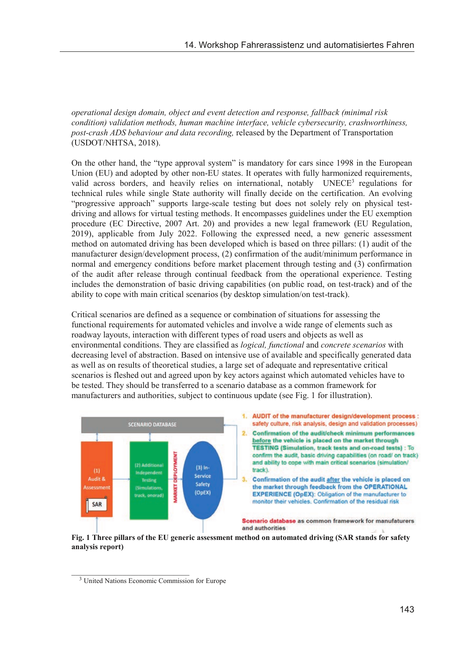*operational design domain, object and event detection and response, fallback (minimal risk condition) validation methods, human machine interface, vehicle cybersecurity, crashworthiness, post-crash ADS behaviour and data recording,* released by the Department of Transportation (USDOT/NHTSA, 2018).

On the other hand, the "type approval system" is mandatory for cars since 1998 in the European Union (EU) and adopted by other non-EU states. It operates with fully harmonized requirements, valid across borders, and heavily relies on international, notably UNECE<sup>3</sup> regulations for technical rules while single State authority will finally decide on the certification. An evolving "progressive approach" supports large-scale testing but does not solely rely on physical testdriving and allows for virtual testing methods. It encompasses guidelines under the EU exemption procedure (EC Directive, 2007 Art. 20) and provides a new legal framework (EU Regulation, 2019), applicable from July 2022. Following the expressed need, a new generic assessment method on automated driving has been developed which is based on three pillars: (1) audit of the manufacturer design/development process, (2) confirmation of the audit/minimum performance in normal and emergency conditions before market placement through testing and (3) confirmation of the audit after release through continual feedback from the operational experience. Testing includes the demonstration of basic driving capabilities (on public road, on test-track) and of the ability to cope with main critical scenarios (by desktop simulation/on test-track).

Critical scenarios are defined as a sequence or combination of situations for assessing the functional requirements for automated vehicles and involve a wide range of elements such as roadway layouts, interaction with different types of road users and objects as well as environmental conditions. They are classified as *logical, functional* and *concrete scenarios* with decreasing level of abstraction. Based on intensive use of available and specifically generated data as well as on results of theoretical studies, a large set of adequate and representative critical scenarios is fleshed out and agreed upon by key actors against which automated vehicles have to be tested. They should be transferred to a scenario database as a common framework for manufacturers and authorities, subject to continuous update (see Fig. 1 for illustration).



**Fig. 1 Three pillars of the EU generic assessment method on automated driving (SAR stands for safety analysis report)**

\_\_\_\_\_\_\_\_\_\_\_\_\_\_\_\_\_\_\_\_\_\_\_\_\_\_\_\_\_\_

<sup>3</sup> United Nations Economic Commission for Europe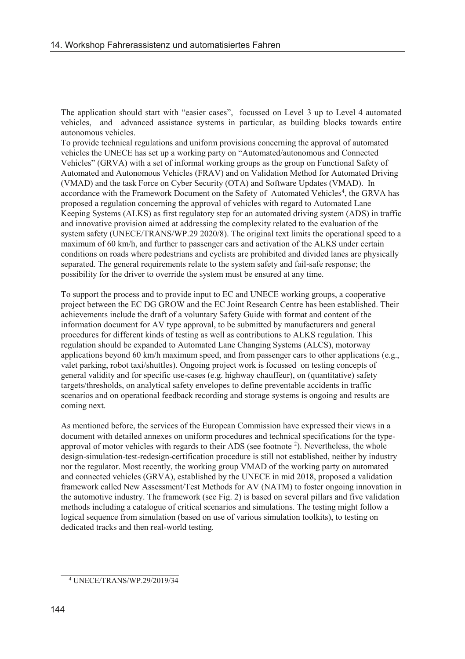The application should start with "easier cases", focussed on Level 3 up to Level 4 automated vehicles, and advanced assistance systems in particular, as building blocks towards entire autonomous vehicles.

To provide technical regulations and uniform provisions concerning the approval of automated vehicles the UNECE has set up a working party on "Automated/autonomous and Connected Vehicles" (GRVA) with a set of informal working groups as the group on Functional Safety of Automated and Autonomous Vehicles (FRAV) and on Validation Method for Automated Driving (VMAD) and the task Force on Cyber Security (OTA) and Software Updates (VMAD). In accordance with the Framework Document on the Safety of Automated Vehicles<sup>4</sup>, the GRVA has proposed a regulation concerning the approval of vehicles with regard to Automated Lane Keeping Systems (ALKS) as first regulatory step for an automated driving system (ADS) in traffic and innovative provision aimed at addressing the complexity related to the evaluation of the system safety (UNECE/TRANS/WP.29 2020/8). The original text limits the operational speed to a maximum of 60 km/h, and further to passenger cars and activation of the ALKS under certain conditions on roads where pedestrians and cyclists are prohibited and divided lanes are physically separated. The general requirements relate to the system safety and fail-safe response; the possibility for the driver to override the system must be ensured at any time.

To support the process and to provide input to EC and UNECE working groups, a cooperative project between the EC DG GROW and the EC Joint Research Centre has been established. Their achievements include the draft of a voluntary Safety Guide with format and content of the information document for AV type approval, to be submitted by manufacturers and general procedures for different kinds of testing as well as contributions to ALKS regulation. This regulation should be expanded to Automated Lane Changing Systems (ALCS), motorway applications beyond 60 km/h maximum speed, and from passenger cars to other applications (e.g., valet parking, robot taxi/shuttles). Ongoing project work is focussed on testing concepts of general validity and for specific use-cases (e.g. highway chauffeur), on (quantitative) safety targets/thresholds, on analytical safety envelopes to define preventable accidents in traffic scenarios and on operational feedback recording and storage systems is ongoing and results are coming next.

As mentioned before, the services of the European Commission have expressed their views in a document with detailed annexes on uniform procedures and technical specifications for the typeapproval of motor vehicles with regards to their ADS (see footnote 2 ). Nevertheless, the whole design-simulation-test-redesign-certification procedure is still not established, neither by industry nor the regulator. Most recently, the working group VMAD of the working party on automated and connected vehicles (GRVA), established by the UNECE in mid 2018, proposed a validation framework called New Assessment/Test Methods for AV (NATM) to foster ongoing innovation in the automotive industry. The framework (see Fig. 2) is based on several pillars and five validation methods including a catalogue of critical scenarios and simulations. The testing might follow a logical sequence from simulation (based on use of various simulation toolkits), to testing on dedicated tracks and then real-world testing.

\_\_\_\_\_\_\_\_\_\_\_\_\_\_\_\_\_\_\_\_\_\_\_\_\_\_\_\_\_\_ <sup>4</sup> UNECE/TRANS/WP.29/2019/34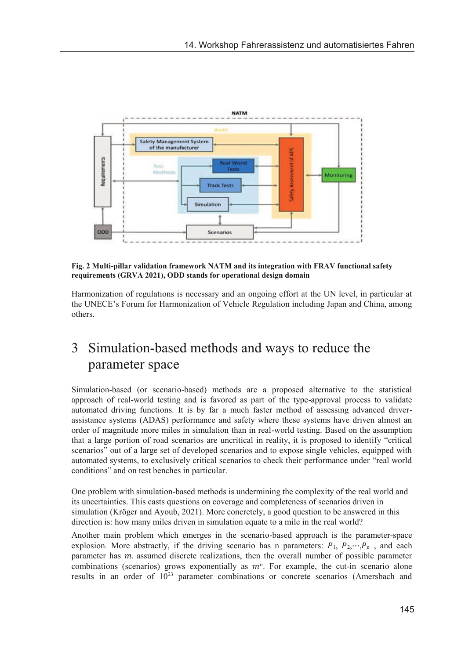

**Fig. 2 Multi-pillar validation framework NATM and its integration with FRAV functional safety requirements (GRVA 2021), ODD stands for operational design domain**

Harmonization of regulations is necessary and an ongoing effort at the UN level, in particular at the UNECE's Forum for Harmonization of Vehicle Regulation including Japan and China, among others.

## 3 Simulation-based methods and ways to reduce the parameter space

Simulation-based (or scenario-based) methods are a proposed alternative to the statistical approach of real-world testing and is favored as part of the type-approval process to validate automated driving functions. It is by far a much faster method of assessing advanced driverassistance systems (ADAS) performance and safety where these systems have driven almost an order of magnitude more miles in simulation than in real-world testing. Based on the assumption that a large portion of road scenarios are uncritical in reality, it is proposed to identify "critical scenarios" out of a large set of developed scenarios and to expose single vehicles, equipped with automated systems, to exclusively critical scenarios to check their performance under "real world conditions" and on test benches in particular.

One problem with simulation-based methods is undermining the complexity of the real world and its uncertainties. This casts questions on coverage and completeness of scenarios driven in simulation (Kröger and Ayoub, 2021). More concretely, a good question to be answered in this direction is: how many miles driven in simulation equate to a mile in the real world?

Another main problem which emerges in the scenario-based approach is the parameter-space explosion. More abstractly, if the driving scenario has n parameters:  $P_1$ ,  $P_2$ ,…, $P_n$ , and each parameter has  $m_i$  assumed discrete realizations, then the overall number of possible parameter combinations (scenarios) grows exponentially as  $m<sup>n</sup>$ . For example, the cut-in scenario alone results in an order of 1023 parameter combinations or concrete scenarios (Amersbach and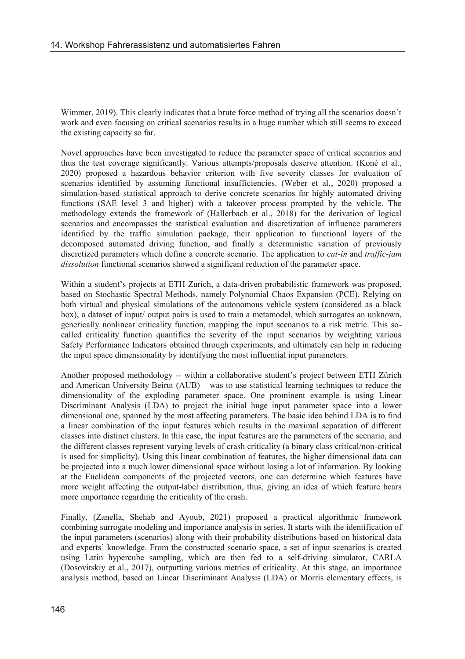Wimmer, 2019). This clearly indicates that a brute force method of trying all the scenarios doesn't work and even focusing on critical scenarios results in a huge number which still seems to exceed the existing capacity so far.

Novel approaches have been investigated to reduce the parameter space of critical scenarios and thus the test coverage significantly. Various attempts/proposals deserve attention. (Koné et al., 2020) proposed a hazardous behavior criterion with five severity classes for evaluation of scenarios identified by assuming functional insufficiencies. (Weber et al., 2020) proposed a simulation-based statistical approach to derive concrete scenarios for highly automated driving functions (SAE level 3 and higher) with a takeover process prompted by the vehicle. The methodology extends the framework of (Hallerbach et al., 2018) for the derivation of logical scenarios and encompasses the statistical evaluation and discretization of influence parameters identified by the traffic simulation package, their application to functional layers of the decomposed automated driving function, and finally a deterministic variation of previously discretized parameters which define a concrete scenario. The application to *cut-in* and *traffic-jam dissolution* functional scenarios showed a significant reduction of the parameter space.

Within a student's projects at ETH Zurich, a data-driven probabilistic framework was proposed, based on Stochastic Spectral Methods, namely Polynomial Chaos Expansion (PCE). Relying on both virtual and physical simulations of the autonomous vehicle system (considered as a black box), a dataset of input/ output pairs is used to train a metamodel, which surrogates an unknown, generically nonlinear criticality function, mapping the input scenarios to a risk metric. This socalled criticality function quantifies the severity of the input scenarios by weighting various Safety Performance Indicators obtained through experiments, and ultimately can help in reducing the input space dimensionality by identifying the most influential input parameters.

Another proposed methodology -- within a collaborative student's project between ETH Zürich and American University Beirut (AUB) – was to use statistical learning techniques to reduce the dimensionality of the exploding parameter space. One prominent example is using Linear Discriminant Analysis (LDA) to project the initial huge input parameter space into a lower dimensional one, spanned by the most affecting parameters. The basic idea behind LDA is to find a linear combination of the input features which results in the maximal separation of different classes into distinct clusters. In this case, the input features are the parameters of the scenario, and the different classes represent varying levels of crash criticality (a binary class critical/non-critical is used for simplicity). Using this linear combination of features, the higher dimensional data can be projected into a much lower dimensional space without losing a lot of information. By looking at the Euclidean components of the projected vectors, one can determine which features have more weight affecting the output-label distribution, thus, giving an idea of which feature bears more importance regarding the criticality of the crash.

Finally, (Zanella, Shehab and Ayoub, 2021) proposed a practical algorithmic framework combining surrogate modeling and importance analysis in series. It starts with the identification of the input parameters (scenarios) along with their probability distributions based on historical data and experts' knowledge. From the constructed scenario space, a set of input scenarios is created using Latin hypercube sampling, which are then fed to a self-driving simulator, CARLA (Dosovitskiy et al., 2017), outputting various metrics of criticality. At this stage, an importance analysis method, based on Linear Discriminant Analysis (LDA) or Morris elementary effects, is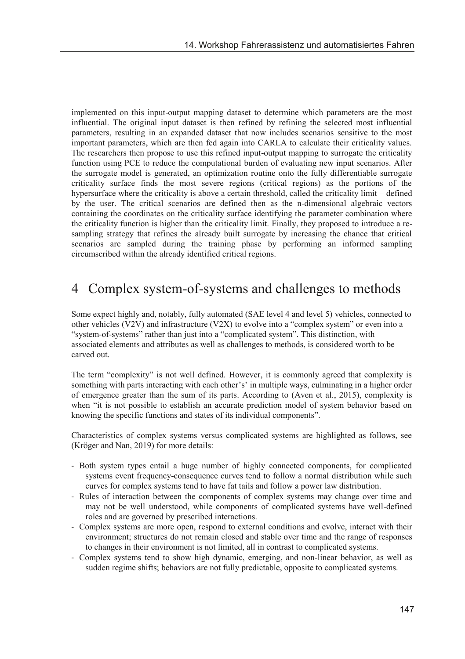implemented on this input-output mapping dataset to determine which parameters are the most influential. The original input dataset is then refined by refining the selected most influential parameters, resulting in an expanded dataset that now includes scenarios sensitive to the most important parameters, which are then fed again into CARLA to calculate their criticality values. The researchers then propose to use this refined input-output mapping to surrogate the criticality function using PCE to reduce the computational burden of evaluating new input scenarios. After the surrogate model is generated, an optimization routine onto the fully differentiable surrogate criticality surface finds the most severe regions (critical regions) as the portions of the hypersurface where the criticality is above a certain threshold, called the criticality limit – defined by the user. The critical scenarios are defined then as the n-dimensional algebraic vectors containing the coordinates on the criticality surface identifying the parameter combination where the criticality function is higher than the criticality limit. Finally, they proposed to introduce a resampling strategy that refines the already built surrogate by increasing the chance that critical scenarios are sampled during the training phase by performing an informed sampling circumscribed within the already identified critical regions.

## 4 Complex system-of-systems and challenges to methods

Some expect highly and, notably, fully automated (SAE level 4 and level 5) vehicles, connected to other vehicles (V2V) and infrastructure (V2X) to evolve into a "complex system" or even into a "system-of-systems" rather than just into a "complicated system". This distinction, with associated elements and attributes as well as challenges to methods, is considered worth to be carved out.

The term "complexity" is not well defined. However, it is commonly agreed that complexity is something with parts interacting with each other's' in multiple ways, culminating in a higher order of emergence greater than the sum of its parts. According to (Aven et al., 2015), complexity is when "it is not possible to establish an accurate prediction model of system behavior based on knowing the specific functions and states of its individual components".

Characteristics of complex systems versus complicated systems are highlighted as follows, see (Kröger and Nan, 2019) for more details:

- Both system types entail a huge number of highly connected components, for complicated systems event frequency-consequence curves tend to follow a normal distribution while such curves for complex systems tend to have fat tails and follow a power law distribution.
- Rules of interaction between the components of complex systems may change over time and may not be well understood, while components of complicated systems have well-defined roles and are governed by prescribed interactions.
- Complex systems are more open, respond to external conditions and evolve, interact with their environment; structures do not remain closed and stable over time and the range of responses to changes in their environment is not limited, all in contrast to complicated systems.
- Complex systems tend to show high dynamic, emerging, and non-linear behavior, as well as sudden regime shifts; behaviors are not fully predictable, opposite to complicated systems.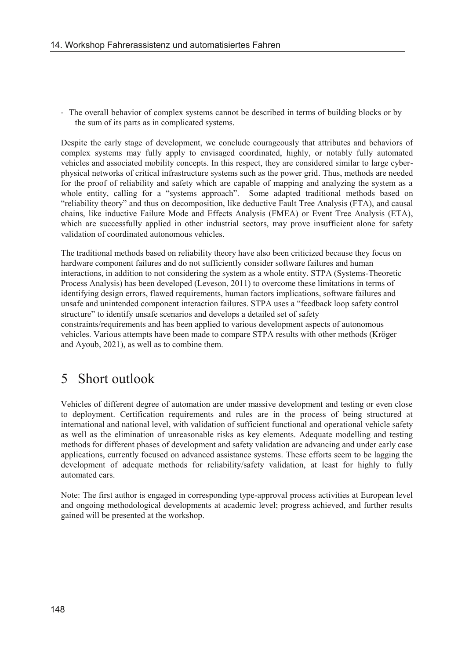- The overall behavior of complex systems cannot be described in terms of building blocks or by the sum of its parts as in complicated systems.

Despite the early stage of development, we conclude courageously that attributes and behaviors of complex systems may fully apply to envisaged coordinated, highly, or notably fully automated vehicles and associated mobility concepts. In this respect, they are considered similar to large cyberphysical networks of critical infrastructure systems such as the power grid. Thus, methods are needed for the proof of reliability and safety which are capable of mapping and analyzing the system as a whole entity, calling for a "systems approach". Some adapted traditional methods based on "reliability theory" and thus on decomposition, like deductive Fault Tree Analysis (FTA), and causal chains, like inductive Failure Mode and Effects Analysis (FMEA) or Event Tree Analysis (ETA), which are successfully applied in other industrial sectors, may prove insufficient alone for safety validation of coordinated autonomous vehicles.

The traditional methods based on reliability theory have also been criticized because they focus on hardware component failures and do not sufficiently consider software failures and human interactions, in addition to not considering the system as a whole entity. STPA (Systems-Theoretic Process Analysis) has been developed (Leveson, 2011) to overcome these limitations in terms of identifying design errors, flawed requirements, human factors implications, software failures and unsafe and unintended component interaction failures. STPA uses a "feedback loop safety control structure" to identify unsafe scenarios and develops a detailed set of safety

constraints/requirements and has been applied to various development aspects of autonomous vehicles. Various attempts have been made to compare STPA results with other methods (Kröger and Ayoub, 2021), as well as to combine them.

## 5 Short outlook

Vehicles of different degree of automation are under massive development and testing or even close to deployment. Certification requirements and rules are in the process of being structured at international and national level, with validation of sufficient functional and operational vehicle safety as well as the elimination of unreasonable risks as key elements. Adequate modelling and testing methods for different phases of development and safety validation are advancing and under early case applications, currently focused on advanced assistance systems. These efforts seem to be lagging the development of adequate methods for reliability/safety validation, at least for highly to fully automated cars.

Note: The first author is engaged in corresponding type-approval process activities at European level and ongoing methodological developments at academic level; progress achieved, and further results gained will be presented at the workshop.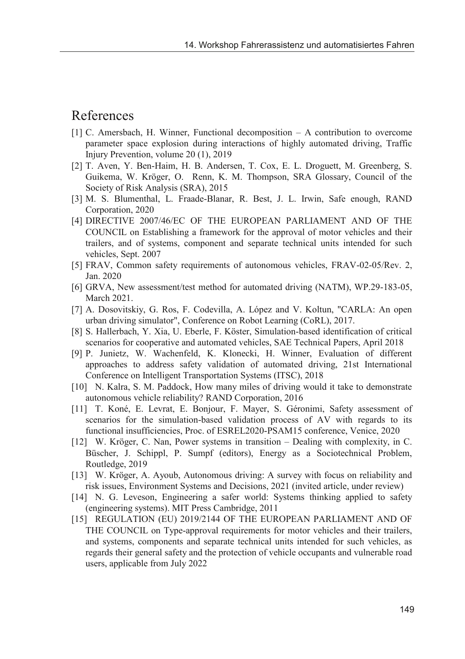### References

- [1] C. Amersbach, H. Winner, Functional decomposition A contribution to overcome parameter space explosion during interactions of highly automated driving, Traffic Injury Prevention, volume 20 (1), 2019
- [2] T. Aven, Y. Ben-Haim, H. B. Andersen, T. Cox, E. L. Droguett, M. Greenberg, S. Guikema, W. Kröger, O. Renn, K. M. Thompson, SRA Glossary, Council of the Society of Risk Analysis (SRA), 2015
- [3] M. S. Blumenthal, L. Fraade-Blanar, R. Best, J. L. Irwin, Safe enough, RAND Corporation, 2020
- [4] DIRECTIVE 2007/46/EC OF THE EUROPEAN PARLIAMENT AND OF THE COUNCIL on Establishing a framework for the approval of motor vehicles and their trailers, and of systems, component and separate technical units intended for such vehicles, Sept. 2007
- [5] FRAV, Common safety requirements of autonomous vehicles, FRAV-02-05/Rev. 2, Jan. 2020
- [6] GRVA, New assessment/test method for automated driving (NATM), WP.29-183-05, March 2021.
- [7] A. Dosovitskiy, G. Ros, F. Codevilla, A. López and V. Koltun, "CARLA: An open urban driving simulator", Conference on Robot Learning (CoRL), 2017.
- [8] S. Hallerbach, Y. Xia, U. Eberle, F. Köster, Simulation-based identification of critical scenarios for cooperative and automated vehicles, SAE Technical Papers, April 2018
- [9] P. Junietz, W. Wachenfeld, K. Klonecki, H. Winner, Evaluation of different approaches to address safety validation of automated driving, 21st International Conference on Intelligent Transportation Systems (ITSC), 2018
- [10] N. Kalra, S. M. Paddock, How many miles of driving would it take to demonstrate autonomous vehicle reliability? RAND Corporation, 2016
- [11] T. Koné, E. Levrat, E. Bonjour, F. Mayer, S. Géronimi, Safety assessment of scenarios for the simulation-based validation process of AV with regards to its functional insufficiencies, Proc. of ESREL2020-PSAM15 conference, Venice, 2020
- [12] W. Kröger, C. Nan, Power systems in transition Dealing with complexity, in C. Büscher, J. Schippl, P. Sumpf (editors), Energy as a Sociotechnical Problem, Routledge, 2019
- [13] W. Kröger, A. Ayoub, Autonomous driving: A survey with focus on reliability and risk issues, Environment Systems and Decisions, 2021 (invited article, under review)
- [14] N. G. Leveson, Engineering a safer world: Systems thinking applied to safety (engineering systems). MIT Press Cambridge, 2011
- [15] REGULATION (EU) 2019/2144 OF THE EUROPEAN PARLIAMENT AND OF THE COUNCIL on Type-approval requirements for motor vehicles and their trailers, and systems, components and separate technical units intended for such vehicles, as regards their general safety and the protection of vehicle occupants and vulnerable road users, applicable from July 2022